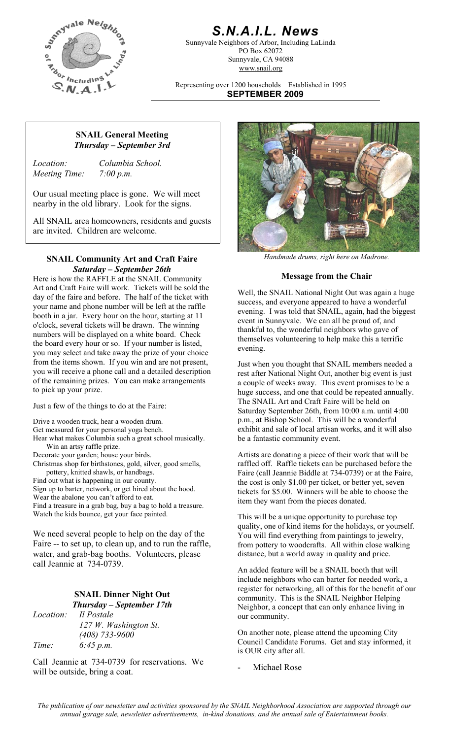

## *S.N.A.I.L. News*

Sunnyvale Neighbors of Arbor, Including LaLinda PO Box 62072 Sunnyvale, CA 94088 www.snail.org

Representing over 1200 households Established in 1995 **SEPTEMBER 2009**

#### **SNAIL General Meeting**  *Thursday – September 3rd*

*Meeting Time: 7:00 p.m.* 

*Location: Columbia School.* 

Our usual meeting place is gone. We will meet nearby in the old library. Look for the signs.

All SNAIL area homeowners, residents and guests are invited. Children are welcome.

#### *Handmade drums, right here on Madrone.* **SNAIL Community Art and Craft Faire**  *Saturday – September 26th*

Here is how the RAFFLE at the SNAIL Community **Message from the Chair** Art and Craft Faire will work. Tickets will be sold the day of the faire and before. The half of the ticket with your name and phone number will be left at the raffle booth in a jar. Every hour on the hour, starting at 11 o'clock, several tickets will be drawn. The winning numbers will be displayed on a white board. Check the board every hour or so. If your number is listed, you may select and take away the prize of your choice from the items shown. If you win and are not present, you will receive a phone call and a detailed description of the remaining prizes. You can make arrangements to pick up your prize.

Just a few of the things to do at the Faire:

Drive a wooden truck, hear a wooden drum.

Get measured for your personal yoga bench.

Hear what makes Columbia such a great school musically. Win an artsy raffle prize.

Decorate your garden; house your birds.

Christmas shop for birthstones, gold, silver, good smells, pottery, knitted shawls, or handbags.

Find out what is happening in our county.

Sign up to barter, network, or get hired about the hood. Wear the abalone you can't afford to eat. Find a treasure in a grab bag, buy a bag to hold a treasure.

We need several people to help on the day of the Faire -- to set up, to clean up, and to run the raffle, water, and grab-bag booths. Volunteers, please call Jeannie at 734-0739.

#### **SNAIL Dinner Night Out**  *Thursday – September 17th*

*Location: Il Postale (408) 733-9600 Time: 6:45 p.m.* 

Call Jeannie at 734-0739 for reservations. We  $\frac{1}{2}$  Michael Rose will be outside, bring a coat.



Well, the SNAIL National Night Out was again a huge success, and everyone appeared to have a wonderful evening. I was told that SNAIL, again, had the biggest event in Sunnyvale. We can all be proud of, and thankful to, the wonderful neighbors who gave of themselves volunteering to help make this a terrific evening.

Just when you thought that SNAIL members needed a rest after National Night Out, another big event is just a couple of weeks away. This event promises to be a huge success, and one that could be repeated annually. The SNAIL Art and Craft Faire will be held on Saturday September 26th, from 10:00 a.m. until 4:00 p.m., at Bishop School. This will be a wonderful exhibit and sale of local artisan works, and it will also be a fantastic community event.

Artists are donating a piece of their work that will be raffled off. Raffle tickets can be purchased before the Faire (call Jeannie Biddle at 734-0739) or at the Faire, the cost is only \$1.00 per ticket, or better yet, seven tickets for \$5.00. Winners will be able to choose the item they want from the pieces donated.

Watch the kids bounce, get your face painted. This will be a unique opportunity to purchase top quality, one of kind items for the holidays, or yourself. You will find everything from paintings to jewelry, from pottery to woodcrafts. All within close walking distance, but a world away in quality and price.

> An added feature will be a SNAIL booth that will include neighbors who can barter for needed work, a register for networking, all of this for the benefit of our community. This is the SNAIL Neighbor Helping Neighbor, a concept that can only enhance living in our community.

*127 W. Washington St.*<br>(408) 733-9600<br>**On another note, please attend the upcoming City** Council Candidate Forums. Get and stay informed, it is OUR city after all.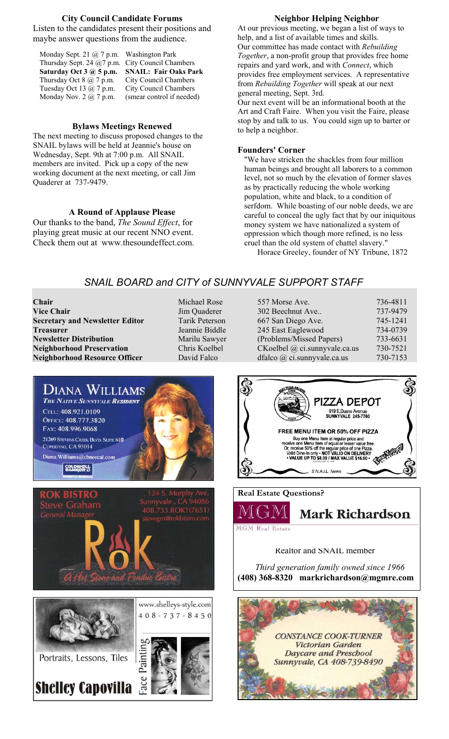#### **City Council Candidate Forums**

Listen to the candidates present their positions and maybe answer questions from the audience.

| Monday Sept. 21 $\omega$ 7 p.m. Washington Park   |
|---------------------------------------------------|
| Thursday Sept. 24 $@7$ p.m. City Council Chambers |
| <b>SNAIL: Fair Oaks Park</b>                      |
| City Council Chambers                             |
| City Council Chambers                             |
| (smear control if needed)                         |
|                                                   |

#### **Bylaws Meeting***s* **Renewed**

The next meeting to discuss proposed changes to the SNAIL bylaws will be held at Jeannie's house on Wednesday, Sept. 9th at 7:00 p.m. All SNAIL members are invited. Pick up a copy of the new working document at the next meeting, or call Jim Quaderer at 737-9479.

#### **A Round of Applause Please**

Our thanks to the band, *The Sound Effect*, for playing great music at our recent NNO event. Check them out at www.thesoundeffect.com.

#### **Neighbor Helping Neighbor**

At our previous meeting, we began a list of ways to help, and a list of available times and skills. Our committee has made contact with *Rebuilding Together*, a non-profit group that provides free home repairs and yard work, and with *Connect*, which provides free employment services. A representative from *Rebuilding Together* will speak at our next general meeting, Sept. 3rd.

Our next event will be an informational booth at the Art and Craft Faire. When you visit the Faire, please stop by and talk to us. You could sign up to barter or to help a neighbor.

#### **Founders' Corner**

"We have stricken the shackles from four million human beings and brought all laborers to a common level, not so much by the elevation of former slaves as by practically reducing the whole working population, white and black, to a condition of serfdom. While boasting of our noble deeds, we are careful to conceal the ugly fact that by our iniquitous money system we have nationalized a system of oppression which though more refined, is no less cruel than the old system of chattel slavery."

Horace Greeley, founder of NY Tribune, 1872

### *SNAIL BOARD and CITY of SUNNYVALE SUPPORT STAFF*

**Chair** Michael Rose<br> **Vice Chair** 557 Morse Ave. 736-57 Michael Rose<br>
557 Morse Ave. 736-4811 **Secretary and Newsletter Editor** Tarik Peterson **Treasurer** Jeannie Biddle **Newsletter Distribution** Marilu Sawyer **Neighborhood Preservation** Chris Koelbel **Neighborhood Resource Officer** David Falco

**Jim Quaderer** 

| 557 Morse Ave.                | 736-4811 |
|-------------------------------|----------|
| 302 Beechnut Ave              | 737-9479 |
| 667 San Diego Ave.            | 745-1241 |
| 245 East Eaglewood            | 734-0739 |
| (Problems/Missed Papers)      | 733-6631 |
| CKoelbel @ ci.sunnyvale.ca.us | 730-7521 |
| dfalco @ ci.sunnyvale.ca.us   | 730-7153 |



PIZZA DEPOT 919 E.Duane Avenue<br>SUNNYVALE 245-7760 FREE MENU ITEM OR 50% OFF PIZZA EXAMPLE IN THE MUSIC OF PIZZA<br>
Buy one Menu Item at regular price and<br>
Conceive one Menu Item of equal or lesser value free.<br>
Or, receive 50% off the regular price of one Pizza.<br>
Valid Dine-In only • NOT VALID ON DELIVERY<br> S.N.A.I.L. News

**Real Estate Questions?** 



**MGM Real Estate** 

#### Realtor and SNAIL member

 *Third generation family owned since 1966*  **(408) 368-8320 markrichardson@mgmre.com**